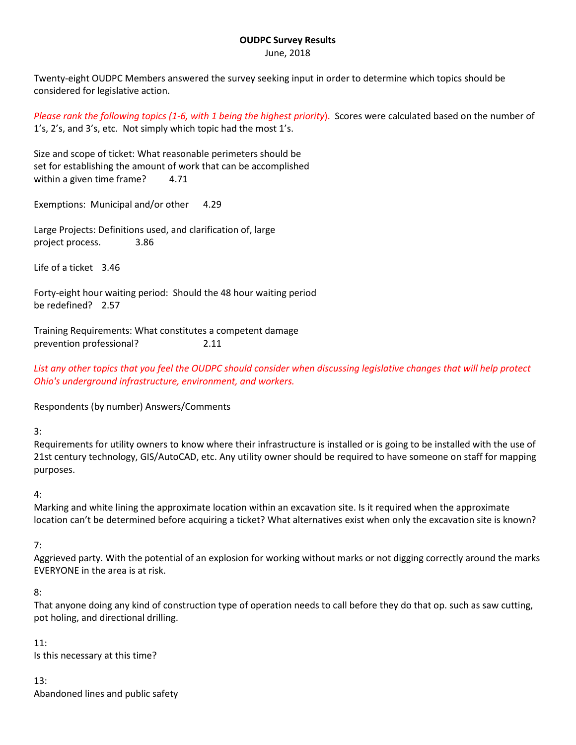#### **OUDPC Survey Results** June, 2018

Twenty-eight OUDPC Members answered the survey seeking input in order to determine which topics should be considered for legislative action.

*Please rank the following topics (1-6, with 1 being the highest priority*). Scores were calculated based on the number of 1's, 2's, and 3's, etc. Not simply which topic had the most 1's.

Size and scope of ticket: What reasonable perimeters should be set for establishing the amount of work that can be accomplished within a given time frame? 4.71

Exemptions: Municipal and/or other 4.29

Large Projects: Definitions used, and clarification of, large project process. 3.86

Life of a ticket 3.46

Forty-eight hour waiting period: Should the 48 hour waiting period be redefined? 2.57

Training Requirements: What constitutes a competent damage prevention professional? 2.11

*List any other topics that you feel the OUDPC should consider when discussing legislative changes that will help protect Ohio's underground infrastructure, environment, and workers.*

Respondents (by number) Answers/Comments

3:

Requirements for utility owners to know where their infrastructure is installed or is going to be installed with the use of 21st century technology, GIS/AutoCAD, etc. Any utility owner should be required to have someone on staff for mapping purposes.

### 4:

Marking and white lining the approximate location within an excavation site. Is it required when the approximate location can't be determined before acquiring a ticket? What alternatives exist when only the excavation site is known?

### 7:

Aggrieved party. With the potential of an explosion for working without marks or not digging correctly around the marks EVERYONE in the area is at risk.

### 8:

That anyone doing any kind of construction type of operation needs to call before they do that op. such as saw cutting, pot holing, and directional drilling.

### 11:

Is this necessary at this time?

13: Abandoned lines and public safety